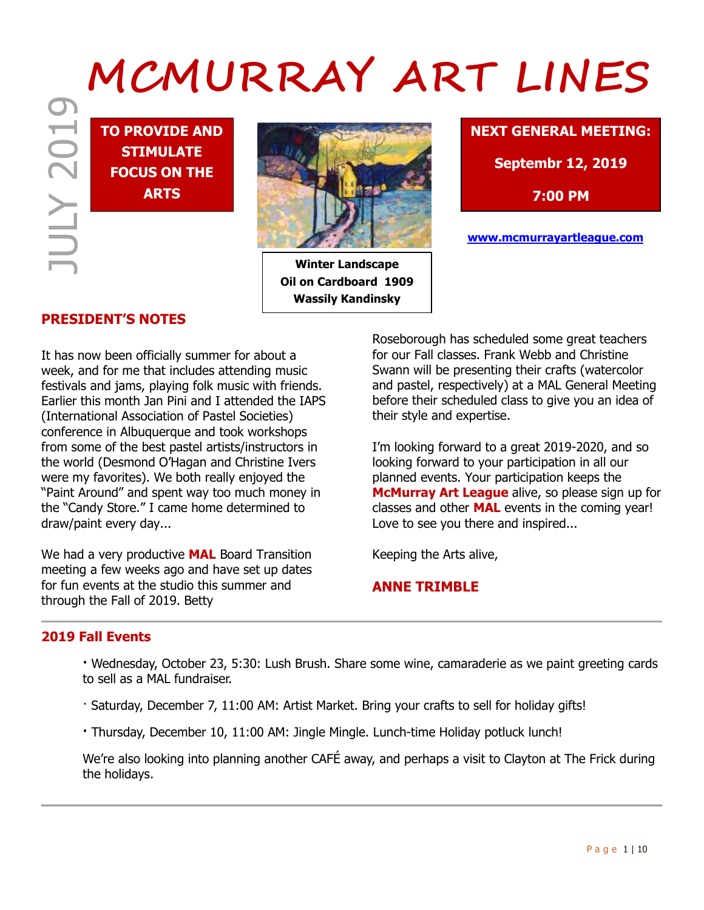# JULY 2019  **MCMURRAY ART LINES**

**TO PROVIDE AND STIMULATE FOCUS ON THE ARTS**



**Winter Landscape Oil on Cardboard 1909 Wassily Kandinsky**

# **NEXT GENERAL MEETING:**

**Septembr 12, 2019**

**7:00 PM**

**www.mcmurrayartleague.com**

# **PRESIDENT'S NOTES**

It has now been officially summer for about a week, and for me that includes attending music festivals and jams, playing folk music with friends. Earlier this month Jan Pini and I attended the IAPS (International Association of Pastel Societies) conference in Albuquerque and took workshops from some of the best pastel artists/instructors in the world (Desmond O'Hagan and Christine Ivers were my favorites). We both really enjoyed the "Paint Around" and spent way too much money in the "Candy Store." I came home determined to draw/paint every day...

We had a very productive **MAL** Board Transition meeting a few weeks ago and have set up dates for fun events at the studio this summer and through the Fall of 2019. Betty

Roseborough has scheduled some great teachers for our Fall classes. Frank Webb and Christine Swann will be presenting their crafts (watercolor and pastel, respectively) at a MAL General Meeting before their scheduled class to give you an idea of their style and expertise.

I'm looking forward to a great 2019-2020, and so looking forward to your participation in all our planned events. Your participation keeps the **McMurray Art League** alive, so please sign up for classes and other **MAL** events in the coming year! Love to see you there and inspired...

Keeping the Arts alive,

# **ANNE TRIMBLE**

### **2019 Fall Events**

**·** Wednesday, October 23, 5:30: Lush Brush. Share some wine, camaraderie as we paint greeting cards to sell as a MAL fundraiser.

- · Saturday, December 7, 11:00 AM: Artist Market. Bring your crafts to sell for holiday gifts!
- **·** Thursday, December 10, 11:00 AM: Jingle Mingle. Lunch-time Holiday potluck lunch!

We're also looking into planning another CAFÉ away, and perhaps a visit to Clayton at The Frick during the holidays.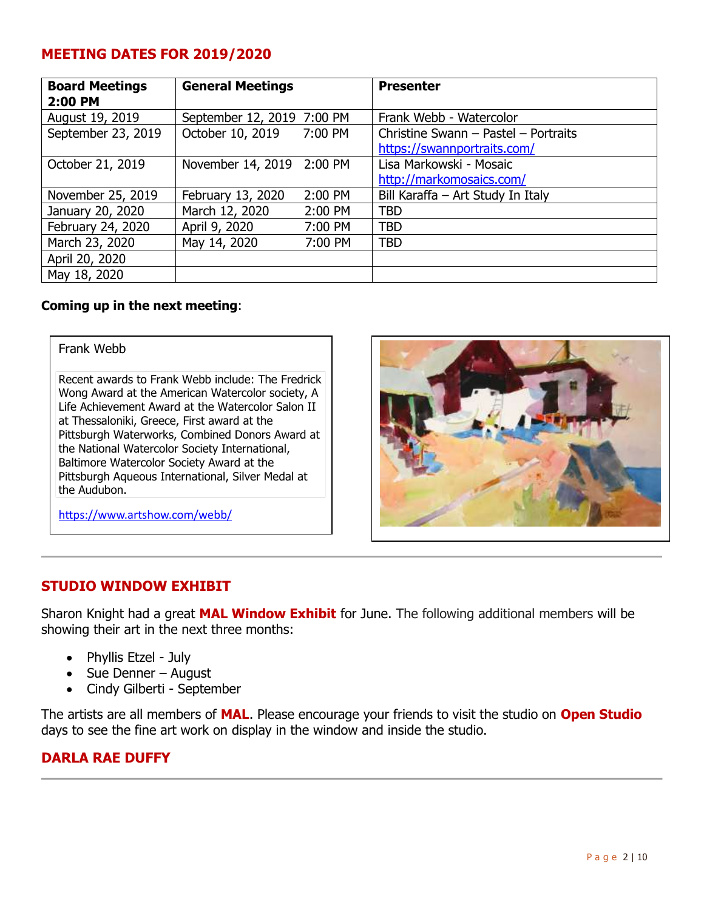# **MEETING DATES FOR 2019/2020**

| <b>Board Meetings</b><br>2:00 PM | <b>General Meetings</b>    |         | <b>Presenter</b>                     |
|----------------------------------|----------------------------|---------|--------------------------------------|
| August 19, 2019                  | September 12, 2019 7:00 PM |         | Frank Webb - Watercolor              |
| September 23, 2019               | October 10, 2019 7:00 PM   |         | Christine Swann - Pastel - Portraits |
|                                  |                            |         | https://swannportraits.com/          |
| October 21, 2019                 | November 14, 2019 2:00 PM  |         | Lisa Markowski - Mosaic              |
|                                  |                            |         | http://markomosaics.com/             |
| November 25, 2019                | February 13, 2020          | 2:00 PM | Bill Karaffa - Art Study In Italy    |
| January 20, 2020                 | March 12, 2020             | 2:00 PM | <b>TBD</b>                           |
| February 24, 2020                | April 9, 2020              | 7:00 PM | <b>TBD</b>                           |
| March 23, 2020                   | May 14, 2020               | 7:00 PM | <b>TBD</b>                           |
| April 20, 2020                   |                            |         |                                      |
| May 18, 2020                     |                            |         |                                      |

# **Coming up in the next meeting**:

Frank Webb

Recent awards to Frank Webb include: The Fredrick Wong Award at the American Watercolor society, A Life Achievement Award at the Watercolor Salon II at Thessaloniki, Greece, First award at the Pittsburgh Waterworks, Combined Donors Award at the National Watercolor Society International, Baltimore Watercolor Society Award at the Pittsburgh Aqueous International, Silver Medal at the Audubon.

https://www.artshow.com/webb/



# **STUDIO WINDOW EXHIBIT**

Sharon Knight had a great **MAL Window Exhibit** for June. The following additional members will be showing their art in the next three months:

- Phyllis Etzel July
- Sue Denner August
- Cindy Gilberti September

The artists are all members of **MAL**. Please encourage your friends to visit the studio on **Open Studio** days to see the fine art work on display in the window and inside the studio.

# **DARLA RAE DUFFY**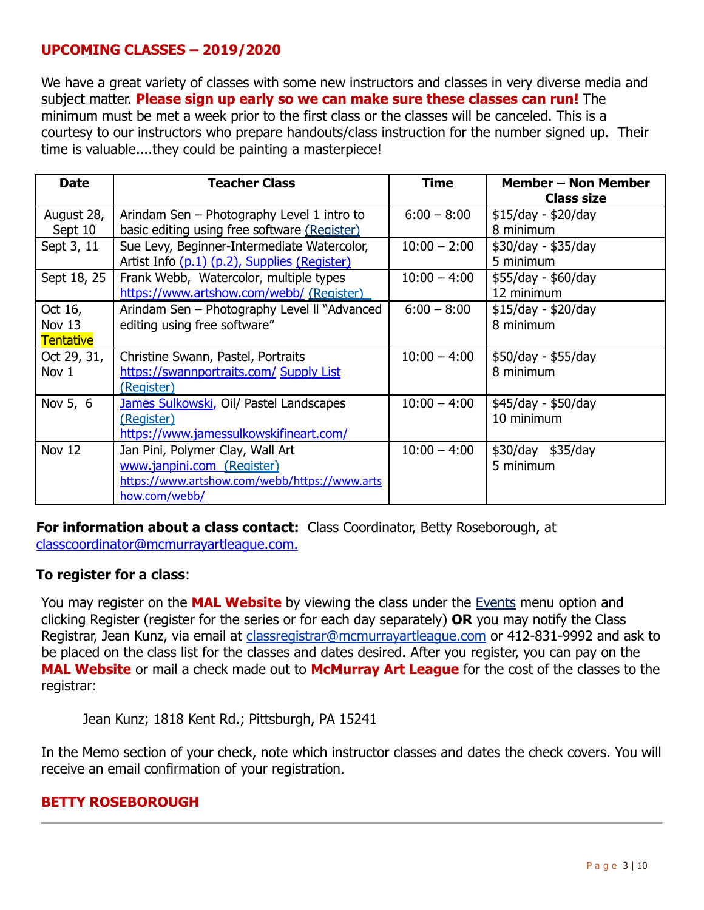# **UPCOMING CLASSES – 2019/2020**

We have a great variety of classes with some new instructors and classes in very diverse media and subject matter. **Please sign up early so we can make sure these classes can run!** The minimum must be met a week prior to the first class or the classes will be canceled. This is a courtesy to our instructors who prepare handouts/class instruction for the number signed up. Their time is valuable....they could be painting a masterpiece!

| <b>Date</b>                             | <b>Teacher Class</b>                                                                                                             | <b>Time</b>    | <b>Member – Non Member</b><br><b>Class size</b> |
|-----------------------------------------|----------------------------------------------------------------------------------------------------------------------------------|----------------|-------------------------------------------------|
| August 28,<br>Sept 10                   | Arindam Sen - Photography Level 1 intro to<br>basic editing using free software (Register)                                       | $6:00 - 8:00$  | \$15/day - \$20/day<br>8 minimum                |
| Sept 3, 11                              | Sue Levy, Beginner-Intermediate Watercolor,<br>Artist Info (p.1) (p.2), Supplies (Register)                                      | $10:00 - 2:00$ | $$30/day - $35/day$<br>5 minimum                |
| Sept 18, 25                             | Frank Webb, Watercolor, multiple types<br>https://www.artshow.com/webb/ (Register)                                               | $10:00 - 4:00$ | $$55/day - $60/day$<br>12 minimum               |
| Oct 16,<br>Nov $13$<br><b>Tentative</b> | Arindam Sen - Photography Level II "Advanced<br>editing using free software"                                                     | $6:00 - 8:00$  | \$15/day - \$20/day<br>8 minimum                |
| Oct 29, 31,<br>Nov 1                    | Christine Swann, Pastel, Portraits<br>https://swannportraits.com/ Supply List<br>(Register)                                      | $10:00 - 4:00$ | $$50/day - $55/day$<br>8 minimum                |
| Nov 5, 6                                | James Sulkowski, Oil/ Pastel Landscapes<br>(Register)<br>https://www.jamessulkowskifineart.com/                                  | $10:00 - 4:00$ | $$45/day - $50/day$<br>10 minimum               |
| <b>Nov 12</b>                           | Jan Pini, Polymer Clay, Wall Art<br>www.janpini.com (Register)<br>https://www.artshow.com/webb/https://www.arts<br>how.com/webb/ | $10:00 - 4:00$ | \$30/day \$35/day<br>5 minimum                  |

**For information about a class contact:** Class Coordinator, Betty Roseborough, at [classcoordinator@mcmurrayartleague.com.](mailto:classcoordinator@mcmurrayartleague.com)

# **To register for a class**:

You may register on the **MAL Website** by viewing the class under the [Events](https://www.mcmurrayartleague.com/page-1498580) menu option and clicking Register (register for the series or for each day separately) **OR** you may notify the Class Registrar, Jean Kunz, via email at [classregistrar@mcmurrayartleague.com](mailto:classregistrar@mcmurrayartleague.com) or 412-831-9992 and ask to be placed on the class list for the classes and dates desired. After you register, you can pay on the **MAL Website** or mail a check made out to **McMurray Art League** for the cost of the classes to the registrar:

Jean Kunz; 1818 Kent Rd.; Pittsburgh, PA 15241

In the Memo section of your check, note which instructor classes and dates the check covers. You will receive an email confirmation of your registration.

# **BETTY ROSEBOROUGH**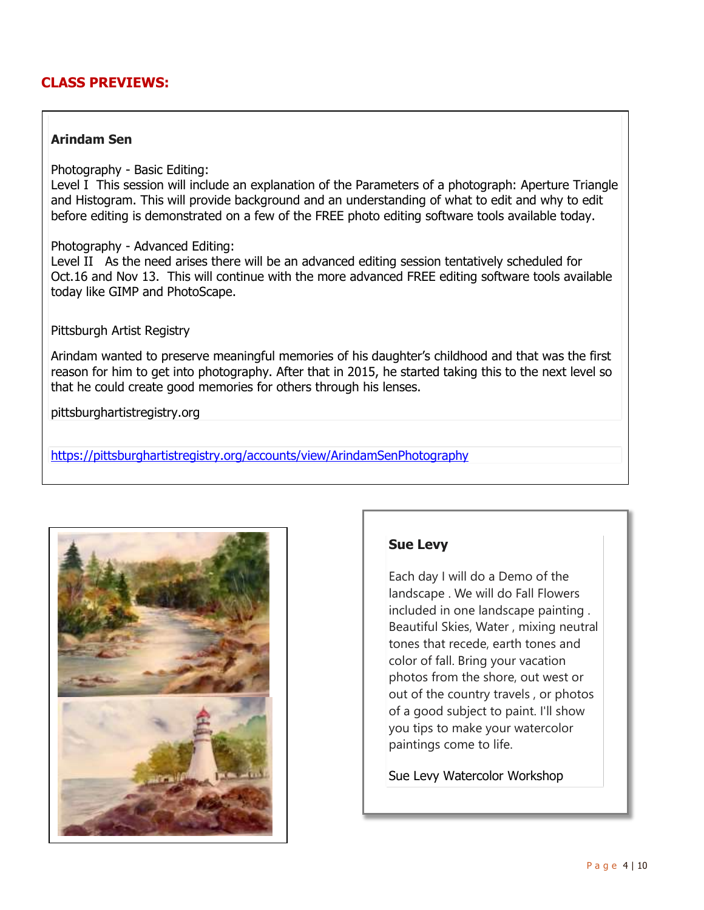# **CLASS PREVIEWS:**

### **Arindam Sen**

Photography - Basic Editing:

Level I This session will include an explanation of the Parameters of a photograph: Aperture Triangle and Histogram. This will provide background and an understanding of what to edit and why to edit before editing is demonstrated on a few of the FREE photo editing software tools available today.

### Photography - Advanced Editing:

Level II As the need arises there will be an advanced editing session tentatively scheduled for Oct.16 and Nov 13. This will continue with the more advanced FREE editing software tools available today like GIMP and PhotoScape.

### Pittsburgh Artist Registry

Arindam wanted to preserve meaningful memories of his daughter's childhood and that was the first reason for him to get into photography. After that in 2015, he started taking this to the next level so that he could create good memories for others through his lenses.

pittsburghartistregistry.org

https://pittsburghartistregistry.org/accounts/view/ArindamSenPhotography



# **Sue Levy**

Each day I will do a Demo of the landscape . We will do Fall Flowers included in one landscape painting . Beautiful Skies, Water , mixing neutral tones that recede, earth tones and color of fall. Bring your vacation photos from the shore, out west or out of the country travels , or photos of a good subject to paint. I'll show you tips to make your watercolor paintings come to life.

Sue Levy Watercolor Workshop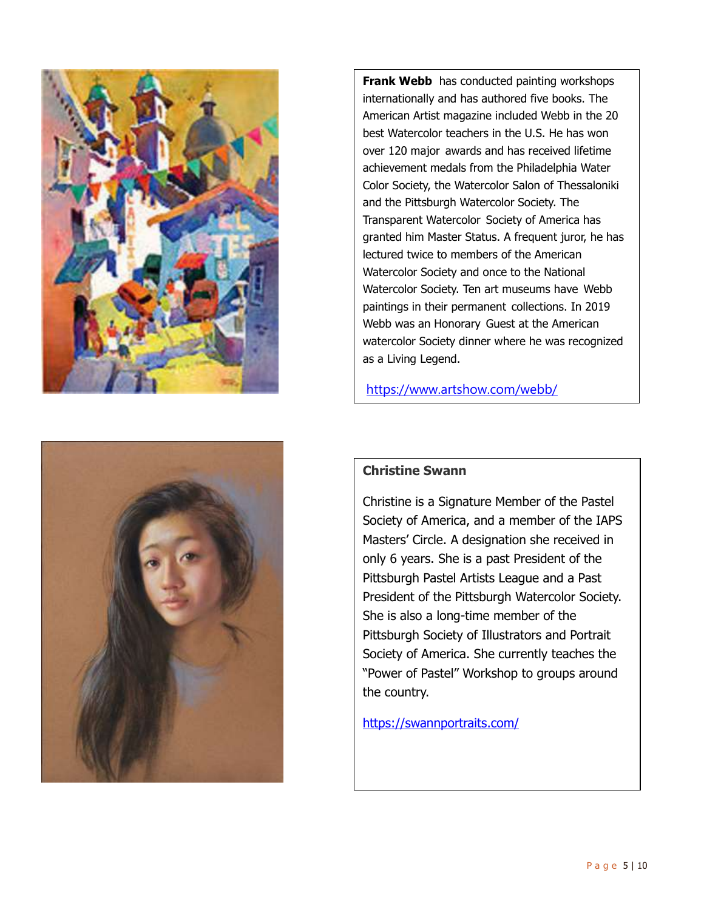

**Frank Webb** has conducted painting workshops internationally and has authored five books. The American Artist magazine included Webb in the 20 best Watercolor teachers in the U.S. He has won over 120 major awards and has received lifetime achievement medals from the Philadelphia Water Color Society, the Watercolor Salon of Thessaloniki and the Pittsburgh Watercolor Society. The Transparent Watercolor Society of America has granted him Master Status. A frequent juror, he has lectured twice to members of the American Watercolor Society and once to the National Watercolor Society. Ten art museums have Webb paintings in their permanent collections. In 2019 Webb was an Honorary Guest at the American watercolor Society dinner where he was recognized as a Living Legend.

https://www.artshow.com/webb/



### **Christine Swann**

Christine is a Signature Member of the Pastel Society of America, and a member of the IAPS Masters' Circle. A designation she received in only 6 years. She is a past President of the Pittsburgh Pastel Artists League and a Past President of the Pittsburgh Watercolor Society. She is also a long-time member of the Pittsburgh Society of Illustrators and Portrait Society of America. She currently teaches the "Power of Pastel" Workshop to groups around the country.

https://swannportraits.com/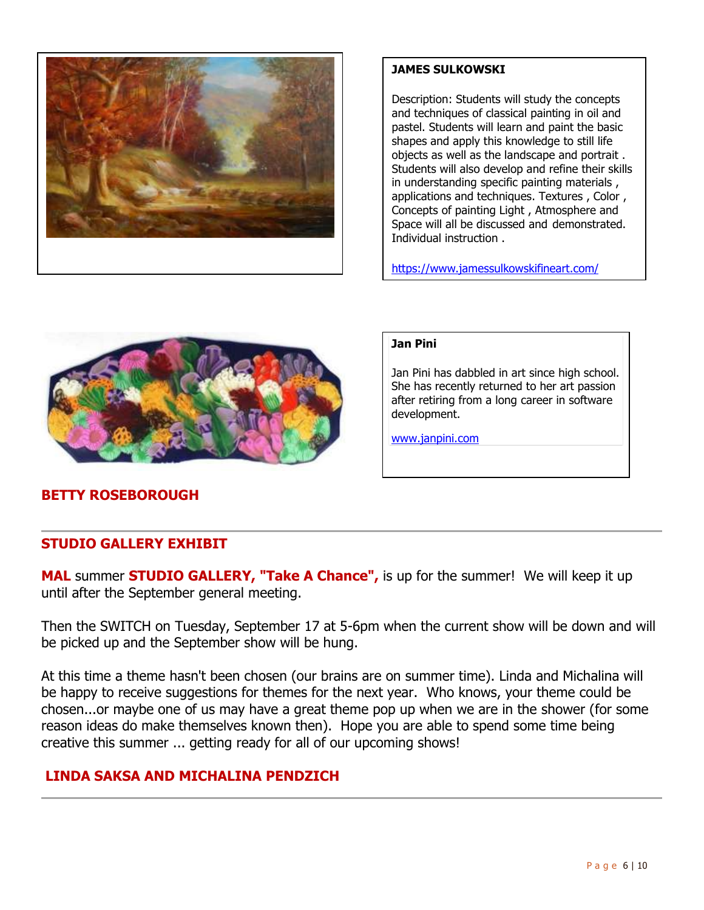

### **JAMES SULKOWSKI**

Description: Students will study the concepts and techniques of classical painting in oil and pastel. Students will learn and paint the basic shapes and apply this knowledge to still life objects as well as the landscape and portrait . Students will also develop and refine their skills in understanding specific painting materials , applications and techniques. Textures , Color , Concepts of painting Light , Atmosphere and Space will all be discussed and demonstrated. Individual instruction .

https://www.jamessulkowskifineart.com/



### **Jan Pini**

Jan Pini has dabbled in art since high school. She has recently returned to her art passion after retiring from a long career in software development.

www.janpini.com

# **BETTY ROSEBOROUGH**

## **STUDIO GALLERY EXHIBIT**

**MAL** summer **STUDIO GALLERY, "Take A Chance",** is up for the summer! We will keep it up until after the September general meeting.

Then the SWITCH on Tuesday, September 17 at 5-6pm when the current show will be down and will be picked up and the September show will be hung.

At this time a theme hasn't been chosen (our brains are on summer time). Linda and Michalina will be happy to receive suggestions for themes for the next year. Who knows, your theme could be chosen...or maybe one of us may have a great theme pop up when we are in the shower (for some reason ideas do make themselves known then). Hope you are able to spend some time being creative this summer ... getting ready for all of our upcoming shows!

# **LINDA SAKSA AND MICHALINA PENDZICH**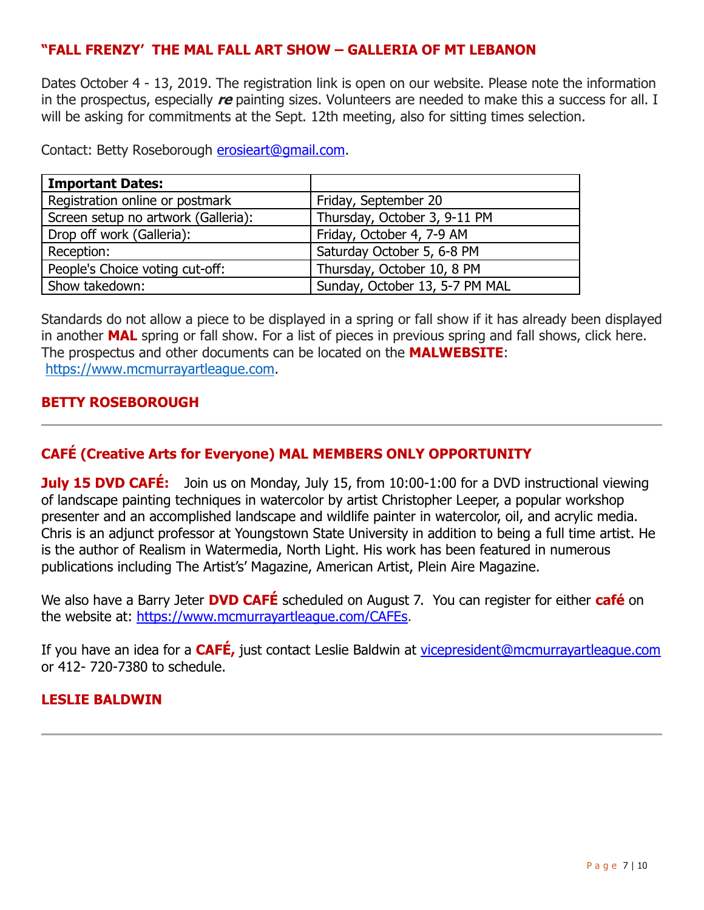# **"FALL FRENZY' THE MAL FALL ART SHOW – GALLERIA OF MT LEBANON**

Dates October 4 - 13, 2019. The registration link is open on our website. Please note the information in the prospectus, especially **re** painting sizes. Volunteers are needed to make this a success for all. I will be asking for commitments at the Sept. 12th meeting, also for sitting times selection.

Contact: Betty Roseborough [erosieart@gmail.com.](mailto:erosieart@gmail.com)

| <b>Important Dates:</b>             |                                |
|-------------------------------------|--------------------------------|
| Registration online or postmark     | Friday, September 20           |
| Screen setup no artwork (Galleria): | Thursday, October 3, 9-11 PM   |
| Drop off work (Galleria):           | Friday, October 4, 7-9 AM      |
| Reception:                          | Saturday October 5, 6-8 PM     |
| People's Choice voting cut-off:     | Thursday, October 10, 8 PM     |
| Show takedown:                      | Sunday, October 13, 5-7 PM MAL |

Standards do not allow a piece to be displayed in a spring or fall show if it has already been displayed in another **MAL** spring or fall show. For a list of pieces in previous spring and fall shows, click here. The prospectus and other documents can be located on the **MALWEBSITE**: [https://www.mcmurrayartleague.com.](https://www.mcmurrayartleague.com/)

## **BETTY ROSEBOROUGH**

# **CAFÉ (Creative Arts for Everyone) MAL MEMBERS ONLY OPPORTUNITY**

**July 15 DVD CAFÉ:** Join us on Monday, July 15, from 10:00-1:00 for a DVD instructional viewing of landscape painting techniques in watercolor by artist Christopher Leeper, a popular workshop presenter and an accomplished landscape and wildlife painter in watercolor, oil, and acrylic media. Chris is an adjunct professor at Youngstown State University in addition to being a full time artist. He is the author of Realism in Watermedia, North Light. His work has been featured in numerous publications including The Artist's' Magazine, American Artist, Plein Aire Magazine.

We also have a Barry Jeter **DVD CAFÉ** scheduled on August 7. You can register for either **café** on the website at: [https://www.mcmurrayartleague.com/CAFEs.](https://www.mcmurrayartleague.com/CAFEs)

If you have an idea for a **CAFÉ,** just contact Leslie Baldwin at [vicepresident@mcmurrayartleague.com](mailto:vicepresident@mcmurrayartleague.com)  or 412- 720-7380 to schedule.

# **LESLIE BALDWIN**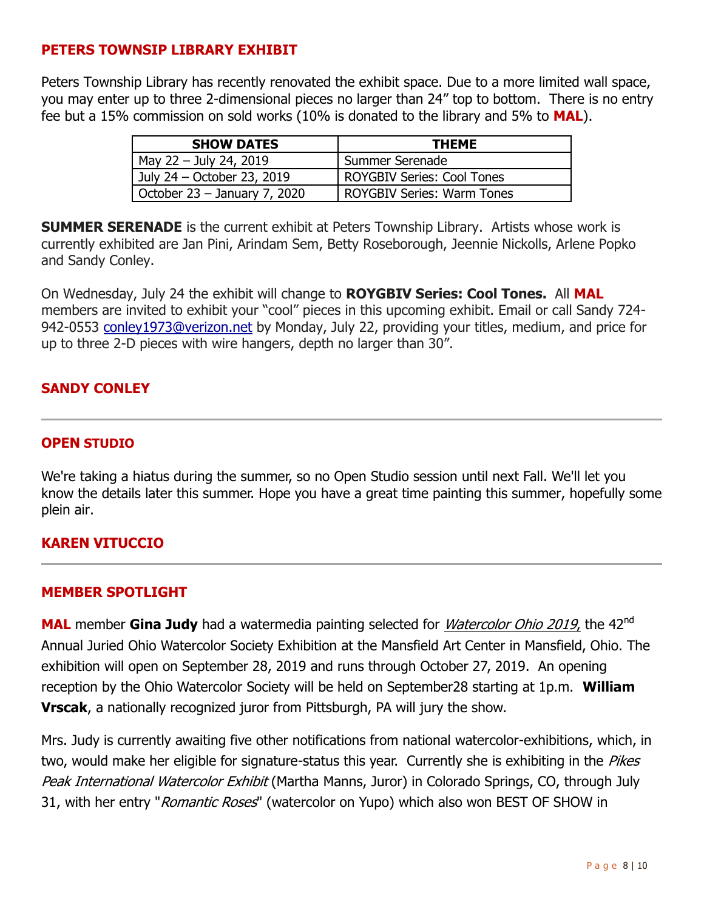# **PETERS TOWNSIP LIBRARY EXHIBIT**

Peters Township Library has recently renovated the exhibit space. Due to a more limited wall space, you may enter up to three 2-dimensional pieces no larger than 24" top to bottom. There is no entry fee but a 15% commission on sold works (10% is donated to the library and 5% to **MAL**).

| <b>SHOW DATES</b>              | <b>THEME</b>                      |  |
|--------------------------------|-----------------------------------|--|
| May 22 - July 24, 2019         | Summer Serenade                   |  |
| July 24 – October 23, 2019     | <b>ROYGBIV Series: Cool Tones</b> |  |
| October $23 -$ January 7, 2020 | <b>ROYGBIV Series: Warm Tones</b> |  |

**SUMMER SERENADE** is the current exhibit at Peters Township Library. Artists whose work is currently exhibited are Jan Pini, Arindam Sem, Betty Roseborough, Jeennie Nickolls, Arlene Popko and Sandy Conley.

On Wednesday, July 24 the exhibit will change to **ROYGBIV Series: Cool Tones.** All **MAL** members are invited to exhibit your "cool" pieces in this upcoming exhibit. Email or call Sandy 724 942-0553 [conley1973@verizon.net](mailto:conley1973@verizon.net) by Monday, July 22, providing your titles, medium, and price for up to three 2-D pieces with wire hangers, depth no larger than 30".

# **SANDY CONLEY**

## **OPEN STUDIO**

We're taking a hiatus during the summer, so no Open Studio session until next Fall. We'll let you know the details later this summer. Hope you have a great time painting this summer, hopefully some plein air.

### **KAREN VITUCCIO**

### **MEMBER SPOTLIGHT**

MAL member Gina Judy had a watermedia painting selected for *Watercolor Ohio 2019*, the 42<sup>nd</sup> Annual Juried Ohio Watercolor Society Exhibition at the Mansfield Art Center in Mansfield, Ohio. The exhibition will open on September 28, 2019 and runs through October 27, 2019. An opening reception by the Ohio Watercolor Society will be held on September28 starting at 1p.m. **William Vrscak**, a nationally recognized juror from Pittsburgh, PA will jury the show.

Mrs. Judy is currently awaiting five other notifications from national watercolor-exhibitions, which, in two, would make her eligible for signature-status this year. Currently she is exhibiting in the *Pikes* Peak International Watercolor Exhibit (Martha Manns, Juror) in Colorado Springs, CO, through July 31, with her entry "*Romantic Roses*" (watercolor on Yupo) which also won BEST OF SHOW in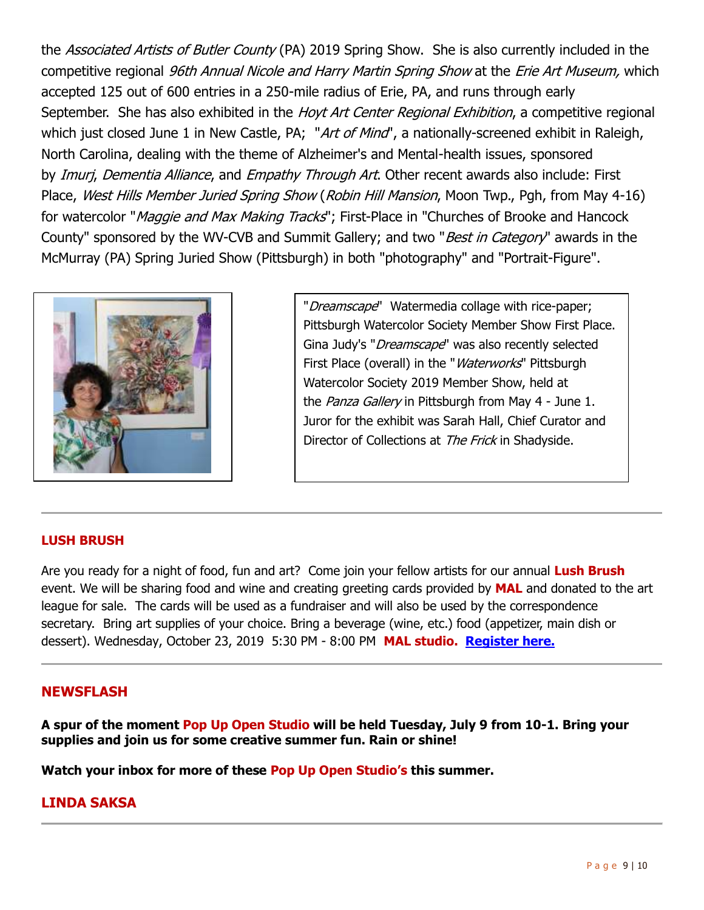the *Associated Artists of Butler County* (PA) 2019 Spring Show. She is also currently included in the competitive regional 96th Annual Nicole and Harry Martin Spring Show at the Erie Art Museum, which accepted 125 out of 600 entries in a 250-mile radius of Erie, PA, and runs through early September. She has also exhibited in the *Hoyt Art Center Regional Exhibition*, a competitive regional which just closed June 1 in New Castle, PA; "Art of Mind", a nationally-screened exhibit in Raleigh, North Carolina, dealing with the theme of Alzheimer's and Mental-health issues, sponsored by Imurj, Dementia Alliance, and Empathy Through Art. Other recent awards also include: First Place, West Hills Member Juried Spring Show (Robin Hill Mansion, Moon Twp., Pgh, from May 4-16) for watercolor "*Maggie and Max Making Tracks*"; First-Place in "Churches of Brooke and Hancock County" sponsored by the WV-CVB and Summit Gallery; and two "*Best in Category*" awards in the McMurray (PA) Spring Juried Show (Pittsburgh) in both "photography" and "Portrait-Figure".



"Dreamscape" Watermedia collage with rice-paper; Pittsburgh Watercolor Society Member Show First Place. Gina Judy's "*Dreamscape*" was also recently selected First Place (overall) in the "*Waterworks*" Pittsburgh Watercolor Society 2019 Member Show, held at the Panza Gallery in Pittsburgh from May 4 - June 1. Juror for the exhibit was Sarah Hall, Chief Curator and Director of Collections at The Frick in Shadyside.

### **LUSH BRUSH**

Are you ready for a night of food, fun and art? Come join your fellow artists for our annual **Lush Brush** event. We will be sharing food and wine and creating greeting cards provided by **MAL** and donated to the art league for sale. The cards will be used as a fundraiser and will also be used by the correspondence secretary. Bring art supplies of your choice. Bring a beverage (wine, etc.) food (appetizer, main dish or dessert). Wednesday, October 23, 2019 5:30 PM - 8:00 PM **MAL studio. [Register here.](https://mcmurrayartleague.com/event-3459013)**

### **NEWSFLASH**

**A spur of the moment Pop Up Open Studio will be held Tuesday, July 9 from 10-1. Bring your supplies and join us for some creative summer fun. Rain or shine!**

**Watch your inbox for more of these Pop Up Open Studio's this summer.**

### **LINDA SAKSA**